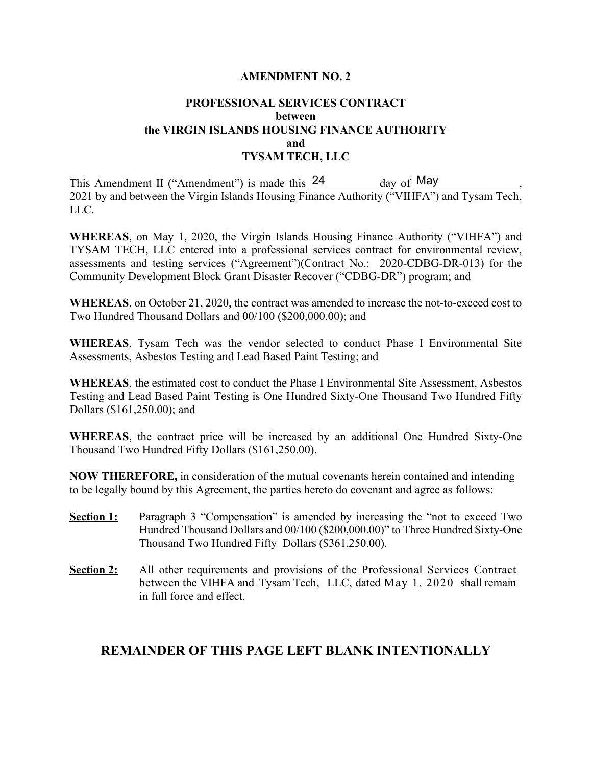## **AMENDMENT NO. 2**

## **PROFESSIONAL SERVICES CONTRACT between the VIRGIN ISLANDS HOUSING FINANCE AUTHORITY and TYSAM TECH, LLC**

This Amendment II ("Amendment") is made this  $24$ 2021 by and between the Virgin Islands Housing Finance Authority ("VIHFA") and Tysam Tech, LLC.  $day$  of May

**WHEREAS**, on May 1, 2020, the Virgin Islands Housing Finance Authority ("VIHFA") and TYSAM TECH, LLC entered into a professional services contract for environmental review, assessments and testing services ("Agreement")(Contract No.: 2020-CDBG-DR-013) for the Community Development Block Grant Disaster Recover ("CDBG-DR") program; and

**WHEREAS**, on October 21, 2020, the contract was amended to increase the not-to-exceed cost to Two Hundred Thousand Dollars and 00/100 (\$200,000.00); and

**WHEREAS**, Tysam Tech was the vendor selected to conduct Phase I Environmental Site Assessments, Asbestos Testing and Lead Based Paint Testing; and

**WHEREAS**, the estimated cost to conduct the Phase I Environmental Site Assessment, Asbestos Testing and Lead Based Paint Testing is One Hundred Sixty-One Thousand Two Hundred Fifty Dollars (\$161,250.00); and

**WHEREAS**, the contract price will be increased by an additional One Hundred Sixty-One Thousand Two Hundred Fifty Dollars (\$161,250.00).

**NOW THEREFORE,** in consideration of the mutual covenants herein contained and intending to be legally bound by this Agreement, the parties hereto do covenant and agree as follows:

- **Section 1:** Paragraph 3 "Compensation" is amended by increasing the "not to exceed Two Hundred Thousand Dollars and 00/100 (\$200,000.00)" to Three Hundred Sixty-One Thousand Two Hundred Fifty Dollars (\$361,250.00).
- **Section 2:** All other requirements and provisions of the Professional Services Contract between the VIHFA and Tysam Tech, LLC, dated May 1, 2020 shall remain in full force and effect.

## **REMAINDER OF THIS PAGE LEFT BLANK INTENTIONALLY**